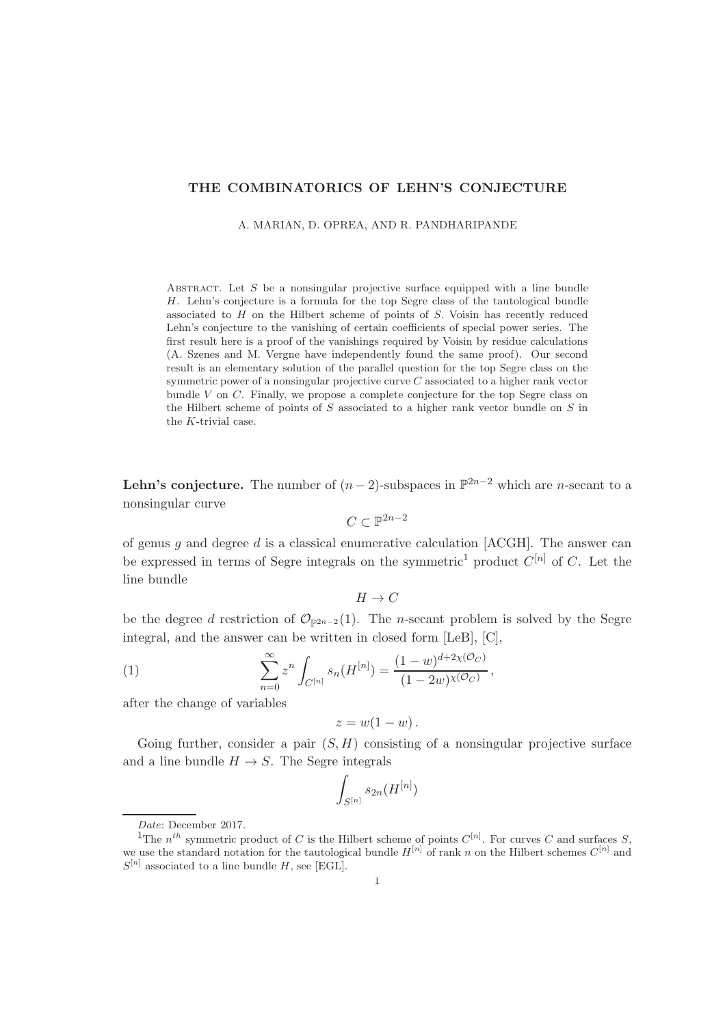## THE COMBINATORICS OF LEHN'S CONJECTURE

A. MARIAN, D. OPREA, AND R. PANDHARIPANDE

ABSTRACT. Let  $S$  be a nonsingular projective surface equipped with a line bundle H. Lehn's conjecture is a formula for the top Segre class of the tautological bundle associated to  $H$  on the Hilbert scheme of points of  $S$ . Voisin has recently reduced Lehn's conjecture to the vanishing of certain coefficients of special power series. The first result here is a proof of the vanishings required by Voisin by residue calculations (A. Szenes and M. Vergne have independently found the same proof). Our second result is an elementary solution of the parallel question for the top Segre class on the symmetric power of a nonsingular projective curve  $C$  associated to a higher rank vector bundle  $V$  on  $C$ . Finally, we propose a complete conjecture for the top Segre class on the Hilbert scheme of points of  $S$  associated to a higher rank vector bundle on  $S$  in the K-trivial case.

**Lehn's conjecture.** The number of  $(n-2)$ -subspaces in  $\mathbb{P}^{2n-2}$  which are *n*-secant to a nonsingular curve

$$
C\subset\mathbb{P}^{2n-2}
$$

of genus g and degree d is a classical enumerative calculation  $[ACGH]$ . The answer can be expressed in terms of Segre integrals on the symmetric<sup>1</sup> product  $C^{[n]}$  of C. Let the line bundle

 $H \to C$ 

be the degree d restriction of  $\mathcal{O}_{\mathbb{P}^{2n-2}}(1)$ . The n-secant problem is solved by the Segre integral, and the answer can be written in closed form [LeB], [C],

(1) 
$$
\sum_{n=0}^{\infty} z^n \int_{C^{[n]}} s_n(H^{[n]}) = \frac{(1-w)^{d+2\chi(\mathcal{O}_C)}}{(1-2w)^{\chi(\mathcal{O}_C)}},
$$

after the change of variables

$$
z=w(1-w)\,.
$$

Going further, consider a pair  $(S, H)$  consisting of a nonsingular projective surface and a line bundle  $H \to S$ . The Segre integrals

$$
\int_{S^{[n]}} s_{2n}(H^{[n]})
$$

Date: December 2017.

<sup>&</sup>lt;sup>1</sup>The  $n^{th}$  symmetric product of C is the Hilbert scheme of points  $C^{[n]}$ . For curves C and surfaces S, we use the standard notation for the tautological bundle  $H^{[n]}$  of rank n on the Hilbert schemes  $C^{[n]}$  and  $S^{[n]}$  associated to a line bundle H, see [EGL].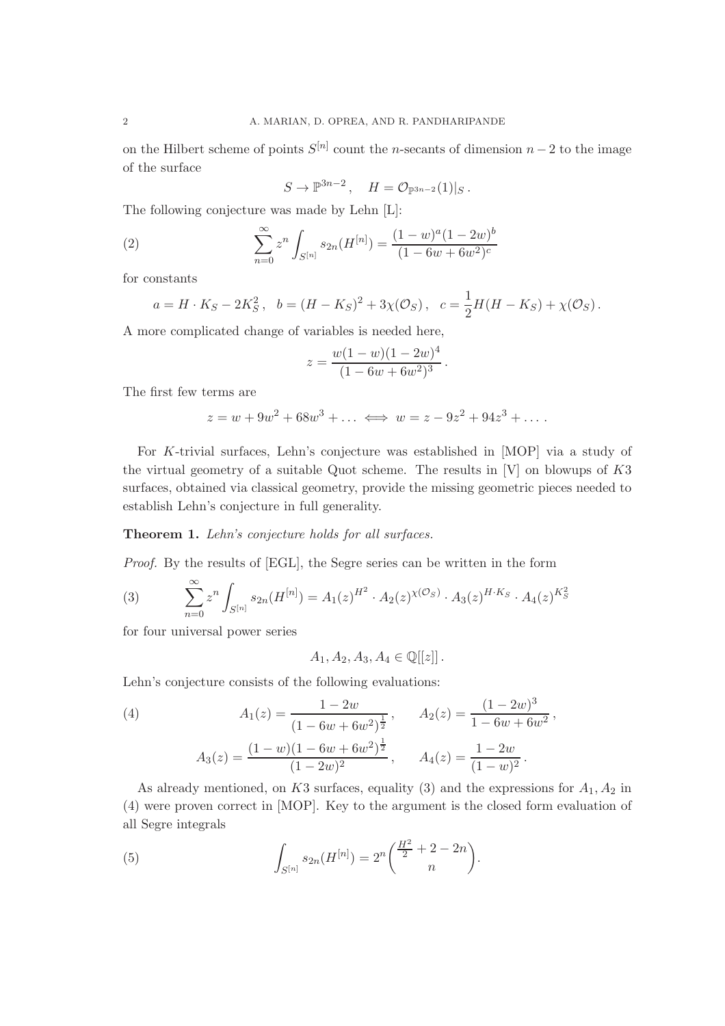on the Hilbert scheme of points  $S^{[n]}$  count the n-secants of dimension  $n-2$  to the image of the surface

$$
S \to \mathbb{P}^{3n-2}, \quad H = \mathcal{O}_{\mathbb{P}^{3n-2}}(1)|_S.
$$

The following conjecture was made by Lehn [L]:

(2) 
$$
\sum_{n=0}^{\infty} z^n \int_{S^{[n]}} s_{2n}(H^{[n]}) = \frac{(1-w)^a (1-2w)^b}{(1-6w+6w^2)^c}
$$

for constants

$$
a = H \cdot K_S - 2K_S^2, \quad b = (H - K_S)^2 + 3\chi(\mathcal{O}_S), \quad c = \frac{1}{2}H(H - K_S) + \chi(\mathcal{O}_S).
$$

A more complicated change of variables is needed here,

$$
z = \frac{w(1-w)(1-2w)^4}{(1-6w+6w^2)^3}.
$$

The first few terms are

$$
z = w + 9w^2 + 68w^3 + \dots \iff w = z - 9z^2 + 94z^3 + \dots
$$

For K-trivial surfaces, Lehn's conjecture was established in [MOP] via a study of the virtual geometry of a suitable Quot scheme. The results in [V] on blowups of K3 surfaces, obtained via classical geometry, provide the missing geometric pieces needed to establish Lehn's conjecture in full generality.

Theorem 1. Lehn's conjecture holds for all surfaces.

Proof. By the results of [EGL], the Segre series can be written in the form

(3) 
$$
\sum_{n=0}^{\infty} z^n \int_{S^{[n]}} s_{2n}(H^{[n]}) = A_1(z)^{H^2} \cdot A_2(z)^{\chi(\mathcal{O}_S)} \cdot A_3(z)^{H \cdot K_S} \cdot A_4(z)^{K_S^2}
$$

for four universal power series

$$
A_1, A_2, A_3, A_4 \in \mathbb{Q}[[z]]
$$
.

Lehn's conjecture consists of the following evaluations:

(4) 
$$
A_1(z) = \frac{1 - 2w}{(1 - 6w + 6w^2)^{\frac{1}{2}}}, \qquad A_2(z) = \frac{(1 - 2w)^3}{1 - 6w + 6w^2},
$$

$$
A_3(z) = \frac{(1 - w)(1 - 6w + 6w^2)^{\frac{1}{2}}}{(1 - 2w)^2}, \qquad A_4(z) = \frac{1 - 2w}{(1 - w)^2}.
$$

As already mentioned, on K3 surfaces, equality (3) and the expressions for  $A_1, A_2$  in (4) were proven correct in [MOP]. Key to the argument is the closed form evaluation of all Segre integrals

(5) 
$$
\int_{S^{[n]}} s_{2n}(H^{[n]}) = 2^n \binom{\frac{H^2}{2} + 2 - 2n}{n}.
$$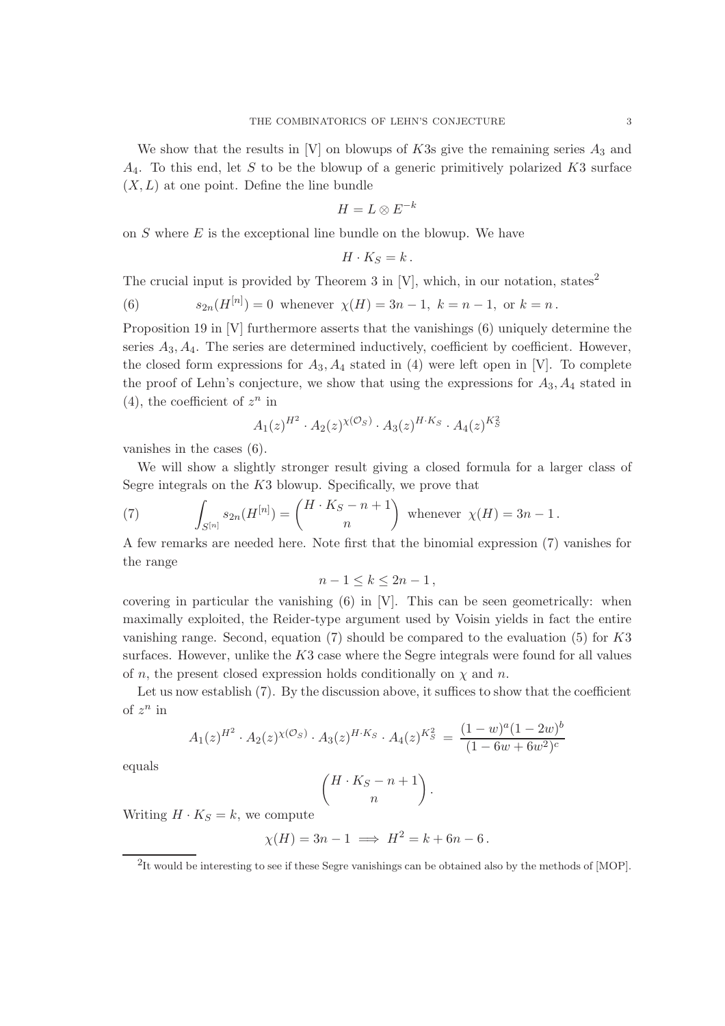We show that the results in [V] on blowups of K3s give the remaining series  $A_3$  and  $A_4$ . To this end, let S to be the blowup of a generic primitively polarized K3 surface  $(X, L)$  at one point. Define the line bundle

$$
H=L\otimes E^{-k}
$$

on  $S$  where  $E$  is the exceptional line bundle on the blowup. We have

$$
H\cdot K_S=k\,.
$$

The crucial input is provided by Theorem 3 in  $[V]$ , which, in our notation, states<sup>2</sup>

(6) 
$$
s_{2n}(H^{[n]}) = 0
$$
 whenever  $\chi(H) = 3n - 1$ ,  $k = n - 1$ , or  $k = n$ .

Proposition 19 in [V] furthermore asserts that the vanishings (6) uniquely determine the series  $A_3, A_4$ . The series are determined inductively, coefficient by coefficient. However, the closed form expressions for  $A_3$ ,  $A_4$  stated in (4) were left open in [V]. To complete the proof of Lehn's conjecture, we show that using the expressions for  $A_3$ ,  $A_4$  stated in (4), the coefficient of  $z^n$  in

$$
A_1(z)^{H^2} \cdot A_2(z)^{\chi(\mathcal{O}_S)} \cdot A_3(z)^{H \cdot K_S} \cdot A_4(z)^{K_S^2}
$$

vanishes in the cases (6).

We will show a slightly stronger result giving a closed formula for a larger class of Segre integrals on the  $K3$  blowup. Specifically, we prove that

(7) 
$$
\int_{S^{[n]}} s_{2n}(H^{[n]}) = {H \cdot K_S - n + 1 \choose n} \text{ whenever } \chi(H) = 3n - 1.
$$

A few remarks are needed here. Note first that the binomial expression (7) vanishes for the range

$$
n-1\leq k\leq 2n-1\,,
$$

covering in particular the vanishing (6) in [V]. This can be seen geometrically: when maximally exploited, the Reider-type argument used by Voisin yields in fact the entire vanishing range. Second, equation  $(7)$  should be compared to the evaluation  $(5)$  for  $K3$ surfaces. However, unlike the  $K3$  case where the Segre integrals were found for all values of n, the present closed expression holds conditionally on  $\chi$  and n.

Let us now establish (7). By the discussion above, it suffices to show that the coefficient of  $z^n$  in

$$
A_1(z)^{H^2} \cdot A_2(z)^{\chi(\mathcal{O}_S)} \cdot A_3(z)^{H \cdot K_S} \cdot A_4(z)^{K_S^2} = \frac{(1-w)^a (1-2w)^b}{(1-6w+6w^2)^c}
$$

equals

$$
\binom{H \cdot K_S - n + 1}{n}
$$

.

Writing  $H \cdot K_S = k$ , we compute

$$
\chi(H) = 3n - 1 \implies H^2 = k + 6n - 6.
$$

<sup>&</sup>lt;sup>2</sup>It would be interesting to see if these Segre vanishings can be obtained also by the methods of [MOP].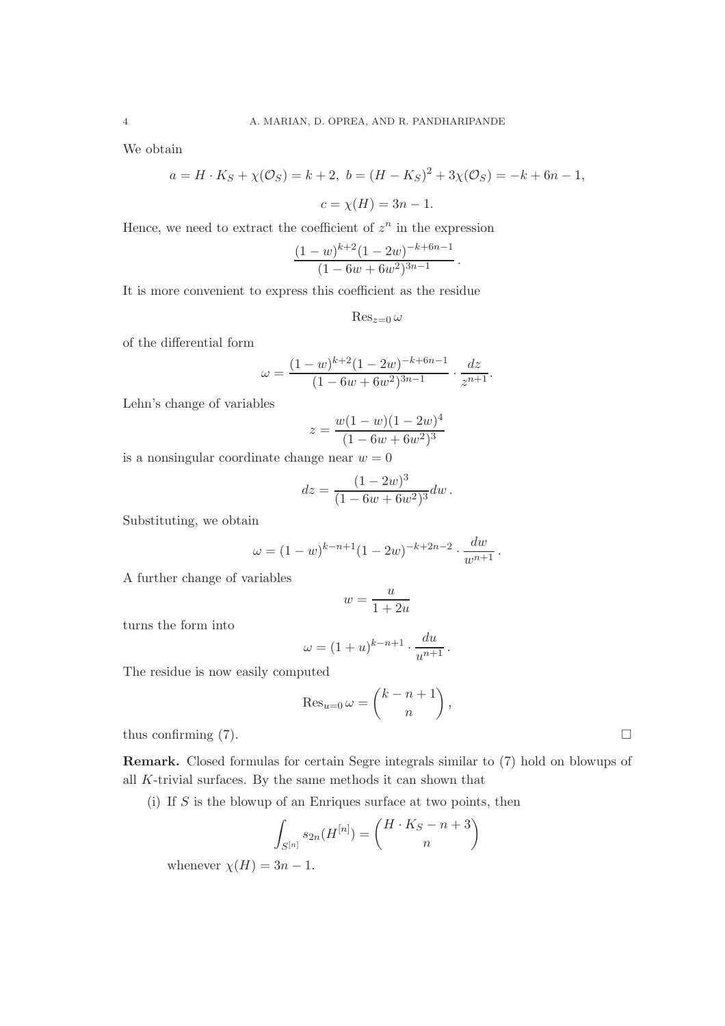We obtain

$$
a = H \cdot K_S + \chi(\mathcal{O}_S) = k + 2, \ b = (H - K_S)^2 + 3\chi(\mathcal{O}_S) = -k + 6n - 1,
$$
  

$$
c = \chi(H) = 3n - 1.
$$

Hence, we need to extract the coefficient of  $z^n$  in the expression

$$
\frac{(1-w)^{k+2}(1-2w)^{-k+6n-1}}{(1-6w+6w^2)^{3n-1}}.
$$

It is more convenient to express this coefficient as the residue

 $\operatorname{Res}_{z=0}\omega$ 

of the differential form

$$
\omega = \frac{(1 - w)^{k+2} (1 - 2w)^{-k+6n-1}}{(1 - 6w + 6w^2)^{3n-1}} \cdot \frac{dz}{z^{n+1}}.
$$

Lehn's change of variables

$$
z = \frac{w(1-w)(1-2w)^4}{(1-6w+6w^2)^3}
$$

is a nonsingular coordinate change near  $w = 0$ 

$$
dz = \frac{(1 - 2w)^3}{(1 - 6w + 6w^2)^3} dw.
$$

Substituting, we obtain

$$
\omega = (1 - w)^{k - n + 1} (1 - 2w)^{-k + 2n - 2} \cdot \frac{dw}{w^{n+1}}.
$$

A further change of variables

$$
w = \frac{u}{1 + 2u}
$$

turns the form into

$$
\omega = (1+u)^{k-n+1} \cdot \frac{du}{u^{n+1}}.
$$

The residue is now easily computed

$$
\operatorname{Res}_{u=0} \omega = \binom{k-n+1}{n},
$$

thus confirming  $(7)$ .

Remark. Closed formulas for certain Segre integrals similar to (7) hold on blowups of all K-trivial surfaces. By the same methods it can shown that

(i) If  $S$  is the blowup of an Enriques surface at two points, then

$$
\int_{S^{[n]}} s_{2n}(H^{[n]}) = \binom{H \cdot K_S - n + 3}{n}
$$

whenever  $\chi(H) = 3n - 1$ .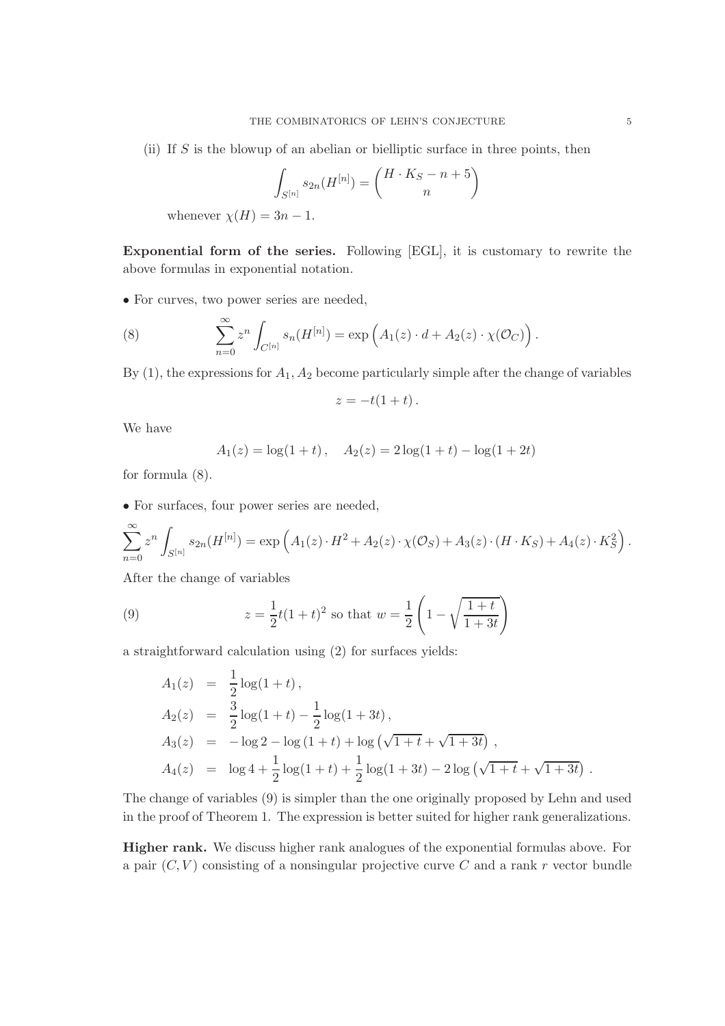(ii) If S is the blowup of an abelian or bielliptic surface in three points, then

$$
\int_{S^{[n]}} s_{2n}(H^{[n]}) = \binom{H \cdot K_S - n + 5}{n}
$$

whenever  $\chi(H) = 3n - 1$ .

Exponential form of the series. Following [EGL], it is customary to rewrite the above formulas in exponential notation.

• For curves, two power series are needed,

(8) 
$$
\sum_{n=0}^{\infty} z^n \int_{C^{[n]}} s_n(H^{[n]}) = \exp\left(A_1(z) \cdot d + A_2(z) \cdot \chi(\mathcal{O}_C)\right).
$$

By  $(1)$ , the expressions for  $A_1$ ,  $A_2$  become particularly simple after the change of variables

$$
z=-t(1+t).
$$

We have

$$
A_1(z) = \log(1+t), \quad A_2(z) = 2\log(1+t) - \log(1+2t)
$$

for formula (8).

• For surfaces, four power series are needed,

$$
\sum_{n=0}^{\infty} z^n \int_{S^{[n]}} s_{2n}(H^{[n]}) = \exp\left(A_1(z) \cdot H^2 + A_2(z) \cdot \chi(\mathcal{O}_S) + A_3(z) \cdot (H \cdot K_S) + A_4(z) \cdot K_S^2\right).
$$

After the change of variables

(9) 
$$
z = \frac{1}{2}t(1+t)^2 \text{ so that } w = \frac{1}{2}\left(1 - \sqrt{\frac{1+t}{1+3t}}\right)
$$

a straightforward calculation using (2) for surfaces yields:

$$
A_1(z) = \frac{1}{2}\log(1+t),
$$
  
\n
$$
A_2(z) = \frac{3}{2}\log(1+t) - \frac{1}{2}\log(1+3t),
$$
  
\n
$$
A_3(z) = -\log 2 - \log (1+t) + \log (\sqrt{1+t} + \sqrt{1+3t}),
$$
  
\n
$$
A_4(z) = \log 4 + \frac{1}{2}\log(1+t) + \frac{1}{2}\log(1+3t) - 2\log (\sqrt{1+t} + \sqrt{1+3t}).
$$

The change of variables (9) is simpler than the one originally proposed by Lehn and used in the proof of Theorem 1. The expression is better suited for higher rank generalizations.

Higher rank. We discuss higher rank analogues of the exponential formulas above. For a pair  $(C, V)$  consisting of a nonsingular projective curve C and a rank r vector bundle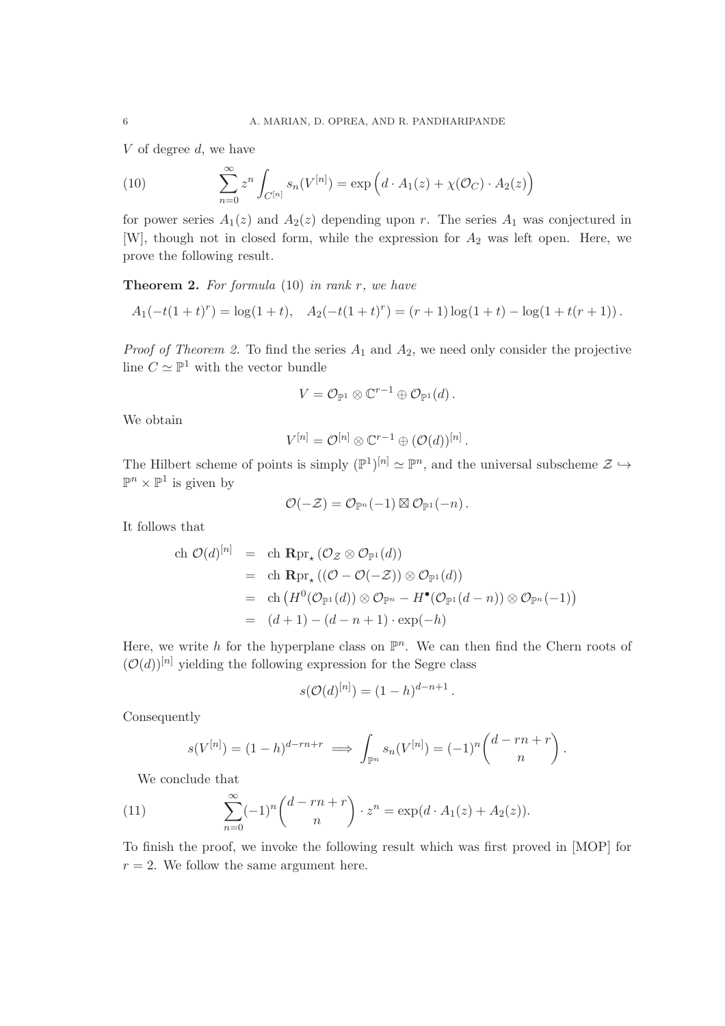V of degree d, we have

(10) 
$$
\sum_{n=0}^{\infty} z^n \int_{C^{[n]}} s_n(V^{[n]}) = \exp\left(d \cdot A_1(z) + \chi(\mathcal{O}_C) \cdot A_2(z)\right)
$$

for power series  $A_1(z)$  and  $A_2(z)$  depending upon r. The series  $A_1$  was conjectured in [W], though not in closed form, while the expression for  $A_2$  was left open. Here, we prove the following result.

**Theorem 2.** For formula  $(10)$  in rank r, we have

$$
A_1(-t(1+t)^r) = \log(1+t), \quad A_2(-t(1+t)^r) = (r+1)\log(1+t) - \log(1+t(r+1)).
$$

*Proof of Theorem 2.* To find the series  $A_1$  and  $A_2$ , we need only consider the projective line  $C \simeq \mathbb{P}^1$  with the vector bundle

$$
V=\mathcal{O}_{\mathbb{P}^1}\otimes \mathbb{C}^{r-1}\oplus \mathcal{O}_{\mathbb{P}^1}(d)\,.
$$

We obtain

$$
V^{[n]} = \mathcal{O}^{[n]} \otimes \mathbb{C}^{r-1} \oplus (\mathcal{O}(d))^{[n]}.
$$

The Hilbert scheme of points is simply  $(\mathbb{P}^1)^{[n]} \simeq \mathbb{P}^n$ , and the universal subscheme  $\mathcal{Z} \hookrightarrow$  $\mathbb{P}^n \times \mathbb{P}^1$  is given by

$$
\mathcal{O}(-\mathcal{Z})=\mathcal{O}_{\mathbb{P}^n}(-1)\boxtimes \mathcal{O}_{\mathbb{P}^1}(-n)\,.
$$

It follows that

ch 
$$
\mathcal{O}(d)^{[n]}
$$
 = ch  $\mathbf{R} \mathrm{pr}_{*} (\mathcal{O}_{\mathcal{Z}} \otimes \mathcal{O}_{\mathbb{P}^{1}}(d))$   
\n= ch  $\mathbf{R} \mathrm{pr}_{*} ((\mathcal{O} - \mathcal{O}(-\mathcal{Z})) \otimes \mathcal{O}_{\mathbb{P}^{1}}(d))$   
\n= ch  $(H^{0}(\mathcal{O}_{\mathbb{P}^{1}}(d)) \otimes \mathcal{O}_{\mathbb{P}^{n}} - H^{\bullet}(\mathcal{O}_{\mathbb{P}^{1}}(d-n)) \otimes \mathcal{O}_{\mathbb{P}^{n}}(-1))$   
\n=  $(d+1) - (d-n+1) \cdot \exp(-h)$ 

Here, we write h for the hyperplane class on  $\mathbb{P}^n$ . We can then find the Chern roots of  $({\cal O}(d))^{[n]}$  yielding the following expression for the Segre class

$$
s(\mathcal{O}(d)^{[n]}) = (1-h)^{d-n+1}.
$$

Consequently

$$
s(V^{[n]}) = (1-h)^{d-rn+r} \implies \int_{\mathbb{P}^n} s_n(V^{[n]}) = (-1)^n \binom{d-rn+r}{n}.
$$

We conclude that

(11) 
$$
\sum_{n=0}^{\infty} (-1)^n {d-rn+r \choose n} \cdot z^n = \exp(d \cdot A_1(z) + A_2(z)).
$$

To finish the proof, we invoke the following result which was first proved in [MOP] for  $r = 2$ . We follow the same argument here.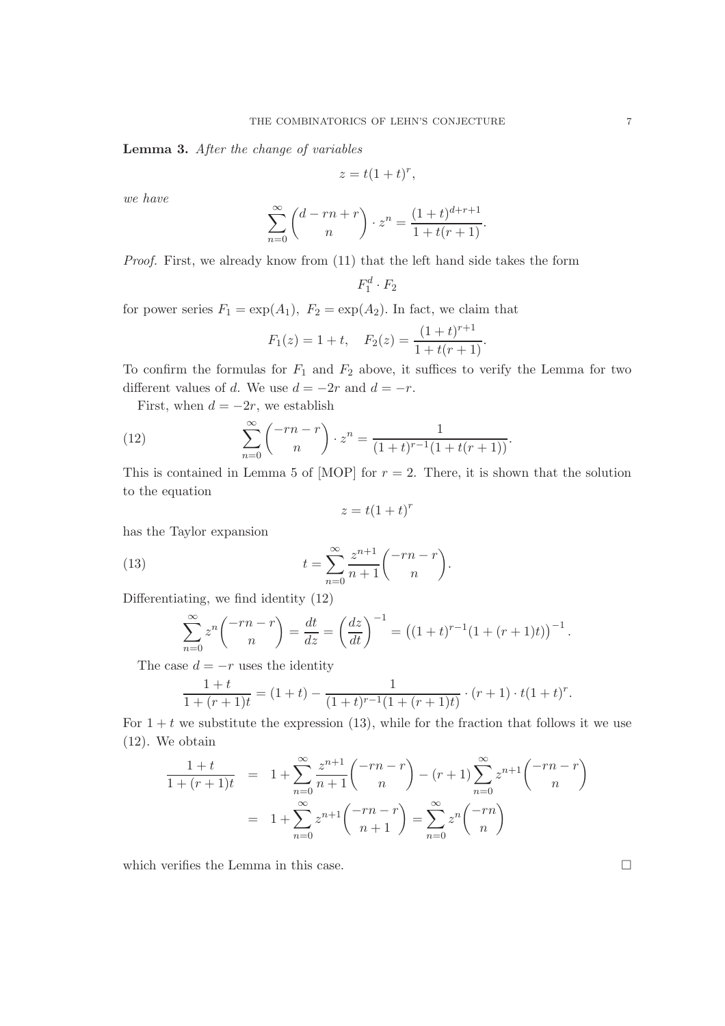Lemma 3. After the change of variables

$$
z = t(1+t)^r,
$$

we have

$$
\sum_{n=0}^{\infty} {d-rn+r \choose n} \cdot z^n = \frac{(1+t)^{d+r+1}}{1+t(r+1)}.
$$

Proof. First, we already know from  $(11)$  that the left hand side takes the form

$$
F_1^d \cdot F_2
$$

for power series  $F_1 = \exp(A_1)$ ,  $F_2 = \exp(A_2)$ . In fact, we claim that

$$
F_1(z) = 1 + t
$$
,  $F_2(z) = \frac{(1+t)^{r+1}}{1+t(r+1)}$ .

To confirm the formulas for  $F_1$  and  $F_2$  above, it suffices to verify the Lemma for two different values of d. We use  $d = -2r$  and  $d = -r$ .

First, when  $d = -2r$ , we establish

(12) 
$$
\sum_{n=0}^{\infty} \binom{-rn - r}{n} \cdot z^n = \frac{1}{(1+t)^{r-1}(1+t(r+1))}.
$$

This is contained in Lemma 5 of [MOP] for  $r = 2$ . There, it is shown that the solution to the equation

$$
z = t(1+t)^r
$$

has the Taylor expansion

(13) 
$$
t = \sum_{n=0}^{\infty} \frac{z^{n+1}}{n+1} \binom{-rn-r}{n}.
$$

Differentiating, we find identity (12)

$$
\sum_{n=0}^{\infty} z^n \binom{-rn-r}{n} = \frac{dt}{dz} = \left(\frac{dz}{dt}\right)^{-1} = \left((1+t)^{r-1}(1+(r+1)t)\right)^{-1}.
$$

The case  $d = -r$  uses the identity

$$
\frac{1+t}{1+(r+1)t} = (1+t) - \frac{1}{(1+t)^{r-1}(1+(r+1)t)} \cdot (r+1) \cdot t(1+t)^r.
$$

For  $1 + t$  we substitute the expression (13), while for the fraction that follows it we use (12). We obtain

$$
\frac{1+t}{1+(r+1)t} = 1 + \sum_{n=0}^{\infty} \frac{z^{n+1}}{n+1} \binom{-rn-r}{n} - (r+1) \sum_{n=0}^{\infty} z^{n+1} \binom{-rn-r}{n}
$$

$$
= 1 + \sum_{n=0}^{\infty} z^{n+1} \binom{-rn-r}{n+1} = \sum_{n=0}^{\infty} z^n \binom{-rn}{n}
$$

which verifies the Lemma in this case.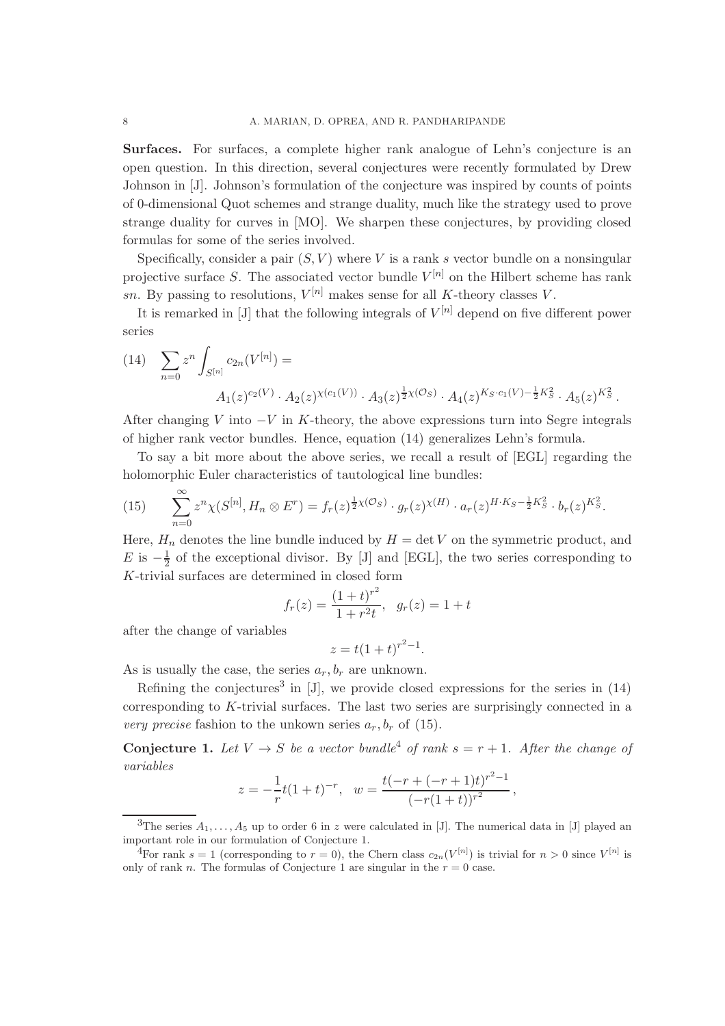Surfaces. For surfaces, a complete higher rank analogue of Lehn's conjecture is an open question. In this direction, several conjectures were recently formulated by Drew Johnson in [J]. Johnson's formulation of the conjecture was inspired by counts of points of 0-dimensional Quot schemes and strange duality, much like the strategy used to prove strange duality for curves in [MO]. We sharpen these conjectures, by providing closed formulas for some of the series involved.

Specifically, consider a pair  $(S, V)$  where V is a rank s vector bundle on a nonsingular projective surface S. The associated vector bundle  $V^{[n]}$  on the Hilbert scheme has rank sn. By passing to resolutions,  $V^{[n]}$  makes sense for all K-theory classes V.

It is remarked in [J] that the following integrals of  $V^{[n]}$  depend on five different power series

(14) 
$$
\sum_{n=0} z^n \int_{S^{[n]}} c_{2n}(V^{[n]}) =
$$

$$
A_1(z)^{c_2(V)} \cdot A_2(z)^{\chi(c_1(V))} \cdot A_3(z)^{\frac{1}{2}\chi(\mathcal{O}_S)} \cdot A_4(z)^{K_S \cdot c_1(V) - \frac{1}{2}K_S^2} \cdot A_5(z)^{K_S^2}.
$$

After changing V into  $-V$  in K-theory, the above expressions turn into Segre integrals of higher rank vector bundles. Hence, equation (14) generalizes Lehn's formula.

To say a bit more about the above series, we recall a result of [EGL] regarding the holomorphic Euler characteristics of tautological line bundles:

(15) 
$$
\sum_{n=0}^{\infty} z^n \chi(S^{[n]}, H_n \otimes E^r) = f_r(z)^{\frac{1}{2}\chi(\mathcal{O}_S)} \cdot g_r(z)^{\chi(H)} \cdot a_r(z)^{H \cdot K_S - \frac{1}{2}K_S^2} \cdot b_r(z)^{K_S^2}.
$$

Here,  $H_n$  denotes the line bundle induced by  $H = \det V$  on the symmetric product, and E is  $-\frac{1}{2}$  $\frac{1}{2}$  of the exceptional divisor. By [J] and [EGL], the two series corresponding to K-trivial surfaces are determined in closed form

$$
f_r(z) = \frac{(1+t)^{r^2}}{1+r^2t}, \quad g_r(z) = 1+t
$$

after the change of variables

 $z = t(1+t)^{r^2-1}.$ 

As is usually the case, the series  $a_r, b_r$  are unknown.

Refining the conjectures<sup>3</sup> in  $[J]$ , we provide closed expressions for the series in  $(14)$ corresponding to  $K$ -trivial surfaces. The last two series are surprisingly connected in a very precise fashion to the unkown series  $a_r, b_r$  of (15).

**Conjecture 1.** Let  $V \rightarrow S$  be a vector bundle<sup>4</sup> of rank  $s = r + 1$ . After the change of variables

$$
z = -\frac{1}{r}t(1+t)^{-r}, \quad w = \frac{t(-r + (-r+1)t)^{r^2-1}}{(-r(1+t))^{r^2}},
$$

<sup>&</sup>lt;sup>3</sup>The series  $A_1, \ldots, A_5$  up to order 6 in z were calculated in [J]. The numerical data in [J] played an important role in our formulation of Conjecture 1.

<sup>&</sup>lt;sup>4</sup>For rank  $s = 1$  (corresponding to  $r = 0$ ), the Chern class  $c_{2n}(V^{[n]})$  is trivial for  $n > 0$  since  $V^{[n]}$  is only of rank n. The formulas of Conjecture 1 are singular in the  $r = 0$  case.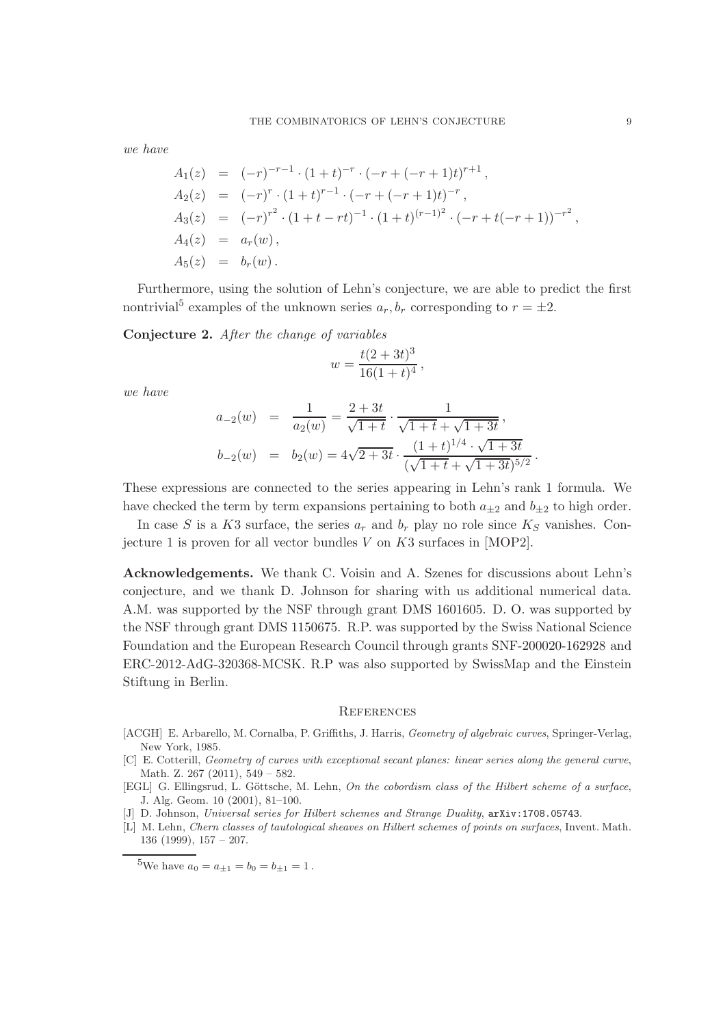we have

$$
A_1(z) = (-r)^{-r-1} \cdot (1+t)^{-r} \cdot (-r+(-r+1)t)^{r+1},
$$
  
\n
$$
A_2(z) = (-r)^r \cdot (1+t)^{r-1} \cdot (-r+(-r+1)t)^{-r},
$$
  
\n
$$
A_3(z) = (-r)^{r^2} \cdot (1+t-rt)^{-1} \cdot (1+t)^{(r-1)^2} \cdot (-r+t(-r+1))^{-r^2},
$$
  
\n
$$
A_4(z) = a_r(w),
$$
  
\n
$$
A_5(z) = b_r(w).
$$

Furthermore, using the solution of Lehn's conjecture, we are able to predict the first nontrivial<sup>5</sup> examples of the unknown series  $a_r, b_r$  corresponding to  $r = \pm 2$ .

Conjecture 2. After the change of variables

$$
w = \frac{t(2+3t)^3}{16(1+t)^4},
$$

we have

$$
a_{-2}(w) = \frac{1}{a_2(w)} = \frac{2+3t}{\sqrt{1+t}} \cdot \frac{1}{\sqrt{1+t} + \sqrt{1+3t}},
$$
  

$$
b_{-2}(w) = b_2(w) = 4\sqrt{2+3t} \cdot \frac{(1+t)^{1/4} \cdot \sqrt{1+3t}}{(\sqrt{1+t} + \sqrt{1+3t})^{5/2}}
$$

These expressions are connected to the series appearing in Lehn's rank 1 formula. We have checked the term by term expansions pertaining to both  $a_{+2}$  and  $b_{+2}$  to high order.

In case S is a K3 surface, the series  $a_r$  and  $b_r$  play no role since  $K_S$  vanishes. Conjecture 1 is proven for all vector bundles  $V$  on  $K3$  surfaces in [MOP2].

Acknowledgements. We thank C. Voisin and A. Szenes for discussions about Lehn's conjecture, and we thank D. Johnson for sharing with us additional numerical data. A.M. was supported by the NSF through grant DMS 1601605. D. O. was supported by the NSF through grant DMS 1150675. R.P. was supported by the Swiss National Science Foundation and the European Research Council through grants SNF-200020-162928 and ERC-2012-AdG-320368-MCSK. R.P was also supported by SwissMap and the Einstein Stiftung in Berlin.

## **REFERENCES**

- [ACGH] E. Arbarello, M. Cornalba, P. Griffiths, J. Harris, *Geometry of algebraic curves*, Springer-Verlag, New York, 1985.
- [C] E. Cotterill, Geometry of curves with exceptional secant planes: linear series along the general curve, Math. Z. 267 (2011), 549 – 582.
- [EGL] G. Ellingsrud, L. Göttsche, M. Lehn, On the cobordism class of the Hilbert scheme of a surface, J. Alg. Geom. 10 (2001), 81–100.
- [J] D. Johnson, Universal series for Hilbert schemes and Strange Duality,  $arXiv:1708.05743$ .
- [L] M. Lehn, Chern classes of tautological sheaves on Hilbert schemes of points on surfaces, Invent. Math. 136 (1999), 157 – 207.

.

<sup>&</sup>lt;sup>5</sup>We have  $a_0 = a_{\pm 1} = b_0 = b_{\pm 1} = 1$ .